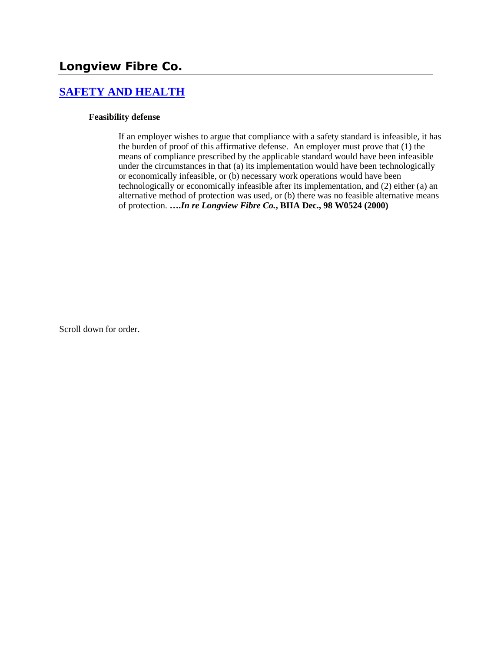# **Longview Fibre Co.**

## **[SAFETY AND HEALTH](http://www.biia.wa.gov/SDSubjectIndex.html#SAFETY_AND_HEALTH)**

#### **Feasibility defense**

If an employer wishes to argue that compliance with a safety standard is infeasible, it has the burden of proof of this affirmative defense. An employer must prove that (1) the means of compliance prescribed by the applicable standard would have been infeasible under the circumstances in that (a) its implementation would have been technologically or economically infeasible, or (b) necessary work operations would have been technologically or economically infeasible after its implementation, and (2) either (a) an alternative method of protection was used, or (b) there was no feasible alternative means of protection. **….***In re Longview Fibre Co.***, BIIA Dec., 98 W0524 (2000)** 

Scroll down for order.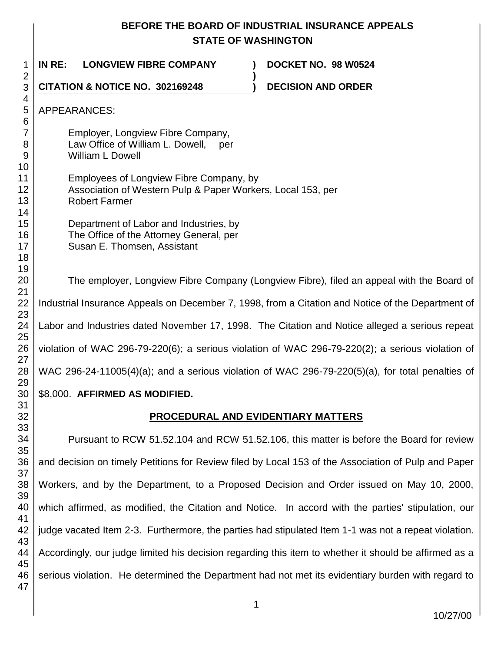# **BEFORE THE BOARD OF INDUSTRIAL INSURANCE APPEALS STATE OF WASHINGTON**

| 1                              | IN RE:<br><b>LONGVIEW FIBRE COMPANY</b><br>DOCKET NO. 98 W0524                                                                                                                                                                                                                                                                                 |  |  |
|--------------------------------|------------------------------------------------------------------------------------------------------------------------------------------------------------------------------------------------------------------------------------------------------------------------------------------------------------------------------------------------|--|--|
| 2<br>3                         | CITATION & NOTICE NO. 302169248<br><b>DECISION AND ORDER</b>                                                                                                                                                                                                                                                                                   |  |  |
| 4<br>5<br>6                    | APPEARANCES:                                                                                                                                                                                                                                                                                                                                   |  |  |
| $\overline{7}$<br>8<br>9<br>10 | Employer, Longview Fibre Company,<br>Law Office of William L. Dowell,<br>per<br><b>William L Dowell</b>                                                                                                                                                                                                                                        |  |  |
| 11<br>12<br>13<br>14           | Employees of Longview Fibre Company, by<br>Association of Western Pulp & Paper Workers, Local 153, per<br><b>Robert Farmer</b><br>Department of Labor and Industries, by<br>The Office of the Attorney General, per<br>Susan E. Thomsen, Assistant<br>The employer, Longview Fibre Company (Longview Fibre), filed an appeal with the Board of |  |  |
| 15<br>16<br>17<br>18           |                                                                                                                                                                                                                                                                                                                                                |  |  |
| 19<br>20<br>21                 |                                                                                                                                                                                                                                                                                                                                                |  |  |
| 22<br>23                       | Industrial Insurance Appeals on December 7, 1998, from a Citation and Notice of the Department of                                                                                                                                                                                                                                              |  |  |
| 24                             | Labor and Industries dated November 17, 1998. The Citation and Notice alleged a serious repeat                                                                                                                                                                                                                                                 |  |  |
| 25<br>26                       | violation of WAC 296-79-220(6); a serious violation of WAC 296-79-220(2); a serious violation of                                                                                                                                                                                                                                               |  |  |
| 27<br>28                       | WAC 296-24-11005(4)(a); and a serious violation of WAC 296-79-220(5)(a), for total penalties of                                                                                                                                                                                                                                                |  |  |
| 29<br>30                       | \$8,000. AFFIRMED AS MODIFIED.                                                                                                                                                                                                                                                                                                                 |  |  |
| 31<br>32                       | PROCEDURAL AND EVIDENTIARY MATTERS                                                                                                                                                                                                                                                                                                             |  |  |
| 33<br>34<br>35                 | Pursuant to RCW 51.52.104 and RCW 51.52.106, this matter is before the Board for review                                                                                                                                                                                                                                                        |  |  |
| 36<br>37                       | and decision on timely Petitions for Review filed by Local 153 of the Association of Pulp and Paper                                                                                                                                                                                                                                            |  |  |
| 38<br>39                       | Workers, and by the Department, to a Proposed Decision and Order issued on May 10, 2000,                                                                                                                                                                                                                                                       |  |  |
| 40<br>41                       | which affirmed, as modified, the Citation and Notice. In accord with the parties' stipulation, our                                                                                                                                                                                                                                             |  |  |
| 42<br>43                       | judge vacated Item 2-3. Furthermore, the parties had stipulated Item 1-1 was not a repeat violation.                                                                                                                                                                                                                                           |  |  |
| 44<br>45                       | Accordingly, our judge limited his decision regarding this item to whether it should be affirmed as a                                                                                                                                                                                                                                          |  |  |
| 46<br>47                       | serious violation. He determined the Department had not met its evidentiary burden with regard to                                                                                                                                                                                                                                              |  |  |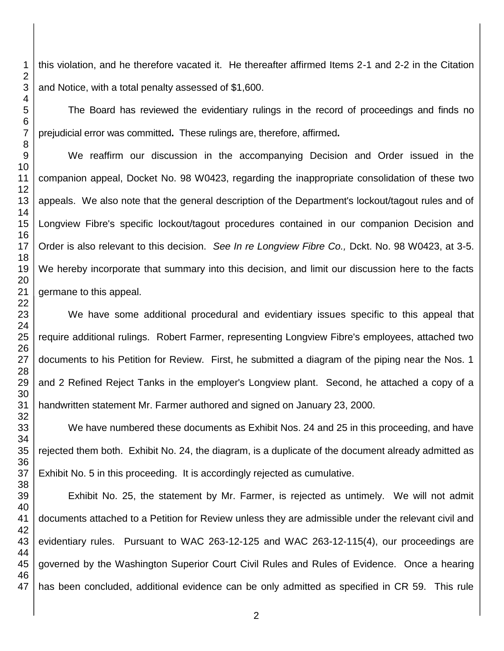this violation, and he therefore vacated it. He thereafter affirmed Items 2-1 and 2-2 in the Citation and Notice, with a total penalty assessed of \$1,600.

The Board has reviewed the evidentiary rulings in the record of proceedings and finds no prejudicial error was committed**.** These rulings are, therefore, affirmed**.**

We reaffirm our discussion in the accompanying Decision and Order issued in the companion appeal, Docket No. 98 W0423, regarding the inappropriate consolidation of these two appeals. We also note that the general description of the Department's lockout/tagout rules and of Longview Fibre's specific lockout/tagout procedures contained in our companion Decision and Order is also relevant to this decision. *See In re Longview Fibre Co.,* Dckt. No. 98 W0423, at 3-5. We hereby incorporate that summary into this decision, and limit our discussion here to the facts germane to this appeal.

We have some additional procedural and evidentiary issues specific to this appeal that require additional rulings. Robert Farmer, representing Longview Fibre's employees, attached two documents to his Petition for Review. First, he submitted a diagram of the piping near the Nos. 1 and 2 Refined Reject Tanks in the employer's Longview plant. Second, he attached a copy of a handwritten statement Mr. Farmer authored and signed on January 23, 2000.

We have numbered these documents as Exhibit Nos. 24 and 25 in this proceeding, and have rejected them both. Exhibit No. 24, the diagram, is a duplicate of the document already admitted as Exhibit No. 5 in this proceeding. It is accordingly rejected as cumulative.

Exhibit No. 25, the statement by Mr. Farmer, is rejected as untimely. We will not admit documents attached to a Petition for Review unless they are admissible under the relevant civil and evidentiary rules. Pursuant to WAC 263-12-125 and WAC 263-12-115(4), our proceedings are governed by the Washington Superior Court Civil Rules and Rules of Evidence. Once a hearing has been concluded, additional evidence can be only admitted as specified in CR 59. This rule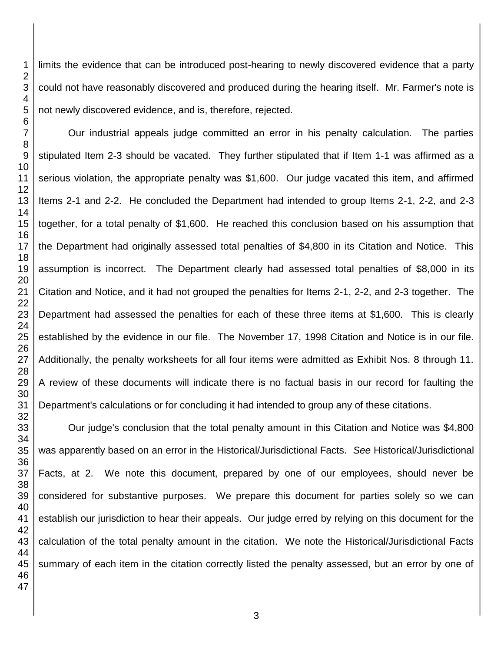limits the evidence that can be introduced post-hearing to newly discovered evidence that a party could not have reasonably discovered and produced during the hearing itself. Mr. Farmer's note is not newly discovered evidence, and is, therefore, rejected.

Our industrial appeals judge committed an error in his penalty calculation. The parties stipulated Item 2-3 should be vacated. They further stipulated that if Item 1-1 was affirmed as a serious violation, the appropriate penalty was \$1,600. Our judge vacated this item, and affirmed Items 2-1 and 2-2. He concluded the Department had intended to group Items 2-1, 2-2, and 2-3 together, for a total penalty of \$1,600. He reached this conclusion based on his assumption that the Department had originally assessed total penalties of \$4,800 in its Citation and Notice. This assumption is incorrect. The Department clearly had assessed total penalties of \$8,000 in its Citation and Notice, and it had not grouped the penalties for Items 2-1, 2-2, and 2-3 together. The Department had assessed the penalties for each of these three items at \$1,600. This is clearly established by the evidence in our file. The November 17, 1998 Citation and Notice is in our file. Additionally, the penalty worksheets for all four items were admitted as Exhibit Nos. 8 through 11. A review of these documents will indicate there is no factual basis in our record for faulting the Department's calculations or for concluding it had intended to group any of these citations.

Our judge's conclusion that the total penalty amount in this Citation and Notice was \$4,800 was apparently based on an error in the Historical/Jurisdictional Facts. *See* Historical/Jurisdictional Facts, at 2. We note this document, prepared by one of our employees, should never be considered for substantive purposes. We prepare this document for parties solely so we can establish our jurisdiction to hear their appeals. Our judge erred by relying on this document for the calculation of the total penalty amount in the citation. We note the Historical/Jurisdictional Facts summary of each item in the citation correctly listed the penalty assessed, but an error by one of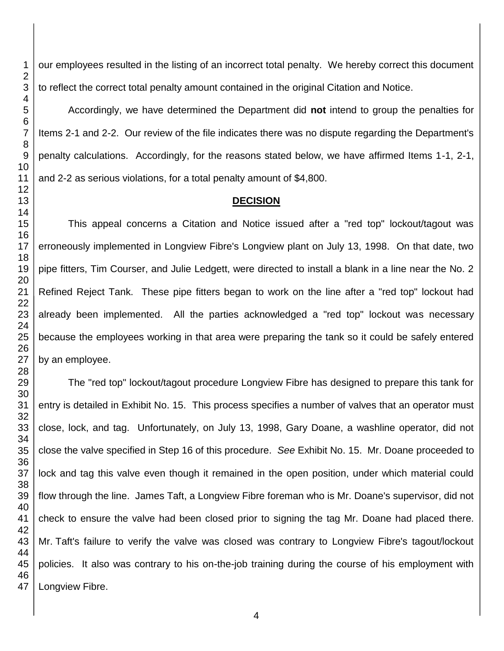our employees resulted in the listing of an incorrect total penalty. We hereby correct this document to reflect the correct total penalty amount contained in the original Citation and Notice.

Accordingly, we have determined the Department did **not** intend to group the penalties for Items 2-1 and 2-2. Our review of the file indicates there was no dispute regarding the Department's penalty calculations. Accordingly, for the reasons stated below, we have affirmed Items 1-1, 2-1, and 2-2 as serious violations, for a total penalty amount of \$4,800.

### **DECISION**

This appeal concerns a Citation and Notice issued after a "red top" lockout/tagout was erroneously implemented in Longview Fibre's Longview plant on July 13, 1998. On that date, two pipe fitters, Tim Courser, and Julie Ledgett, were directed to install a blank in a line near the No. 2 Refined Reject Tank. These pipe fitters began to work on the line after a "red top" lockout had already been implemented. All the parties acknowledged a "red top" lockout was necessary because the employees working in that area were preparing the tank so it could be safely entered by an employee.

The "red top" lockout/tagout procedure Longview Fibre has designed to prepare this tank for entry is detailed in Exhibit No. 15. This process specifies a number of valves that an operator must close, lock, and tag. Unfortunately, on July 13, 1998, Gary Doane, a washline operator, did not close the valve specified in Step 16 of this procedure. *See* Exhibit No. 15. Mr. Doane proceeded to lock and tag this valve even though it remained in the open position, under which material could flow through the line. James Taft, a Longview Fibre foreman who is Mr. Doane's supervisor, did not check to ensure the valve had been closed prior to signing the tag Mr. Doane had placed there. Mr. Taft's failure to verify the valve was closed was contrary to Longview Fibre's tagout/lockout policies. It also was contrary to his on-the-job training during the course of his employment with Longview Fibre.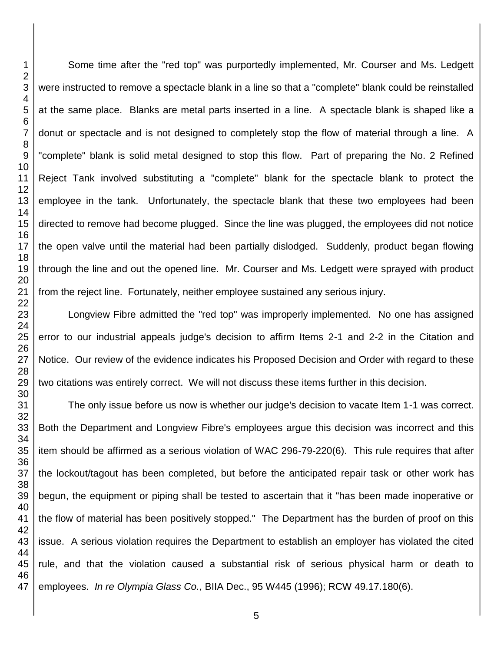Some time after the "red top" was purportedly implemented, Mr. Courser and Ms. Ledgett were instructed to remove a spectacle blank in a line so that a "complete" blank could be reinstalled at the same place. Blanks are metal parts inserted in a line. A spectacle blank is shaped like a donut or spectacle and is not designed to completely stop the flow of material through a line. A "complete" blank is solid metal designed to stop this flow. Part of preparing the No. 2 Refined Reject Tank involved substituting a "complete" blank for the spectacle blank to protect the employee in the tank. Unfortunately, the spectacle blank that these two employees had been directed to remove had become plugged. Since the line was plugged, the employees did not notice the open valve until the material had been partially dislodged. Suddenly, product began flowing through the line and out the opened line. Mr. Courser and Ms. Ledgett were sprayed with product from the reject line. Fortunately, neither employee sustained any serious injury.

Longview Fibre admitted the "red top" was improperly implemented. No one has assigned error to our industrial appeals judge's decision to affirm Items 2-1 and 2-2 in the Citation and Notice. Our review of the evidence indicates his Proposed Decision and Order with regard to these two citations was entirely correct. We will not discuss these items further in this decision.

The only issue before us now is whether our judge's decision to vacate Item 1-1 was correct. Both the Department and Longview Fibre's employees argue this decision was incorrect and this item should be affirmed as a serious violation of WAC 296-79-220(6). This rule requires that after the lockout/tagout has been completed, but before the anticipated repair task or other work has begun, the equipment or piping shall be tested to ascertain that it "has been made inoperative or the flow of material has been positively stopped." The Department has the burden of proof on this issue. A serious violation requires the Department to establish an employer has violated the cited rule, and that the violation caused a substantial risk of serious physical harm or death to employees. *In re Olympia Glass Co.*, BIIA Dec., 95 W445 (1996); RCW 49.17.180(6).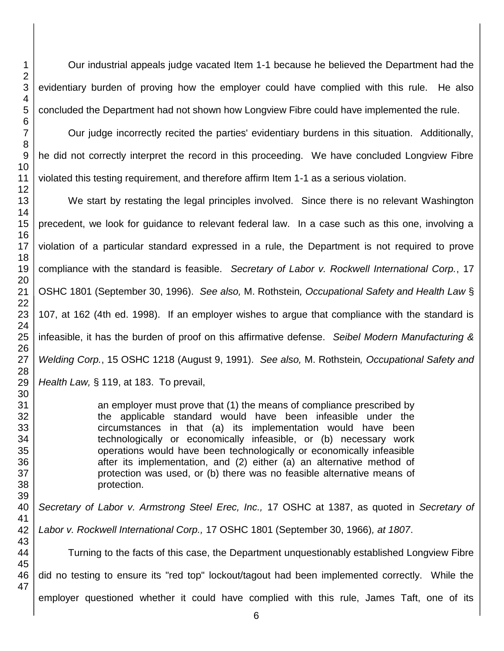Our industrial appeals judge vacated Item 1-1 because he believed the Department had the evidentiary burden of proving how the employer could have complied with this rule. He also concluded the Department had not shown how Longview Fibre could have implemented the rule.

Our judge incorrectly recited the parties' evidentiary burdens in this situation. Additionally, he did not correctly interpret the record in this proceeding. We have concluded Longview Fibre violated this testing requirement, and therefore affirm Item 1-1 as a serious violation.

We start by restating the legal principles involved. Since there is no relevant Washington precedent, we look for guidance to relevant federal law. In a case such as this one, involving a violation of a particular standard expressed in a rule, the Department is not required to prove compliance with the standard is feasible. *Secretary of Labor v. Rockwell International Corp.*, 17 OSHC 1801 (September 30, 1996). *See also,* M. Rothstein*, Occupational Safety and Health Law* § 107, at 162 (4th ed. 1998). If an employer wishes to argue that compliance with the standard is infeasible, it has the burden of proof on this affirmative defense. *Seibel Modern Manufacturing & Welding Corp.*, 15 OSHC 1218 (August 9, 1991). *See also,* M. Rothstein*, Occupational Safety and Health Law,* § 119, at 183. To prevail,

> an employer must prove that (1) the means of compliance prescribed by the applicable standard would have been infeasible under the circumstances in that (a) its implementation would have been technologically or economically infeasible, or (b) necessary work operations would have been technologically or economically infeasible after its implementation, and (2) either (a) an alternative method of protection was used, or (b) there was no feasible alternative means of protection.

*Secretary of Labor v. Armstrong Steel Erec, Inc.,* 17 OSHC at 1387, as quoted in *Secretary of* 

*Labor v. Rockwell International Corp.,* 17 OSHC 1801 (September 30, 1966)*, at 1807*.

Turning to the facts of this case, the Department unquestionably established Longview Fibre

did no testing to ensure its "red top" lockout/tagout had been implemented correctly. While the

employer questioned whether it could have complied with this rule, James Taft, one of its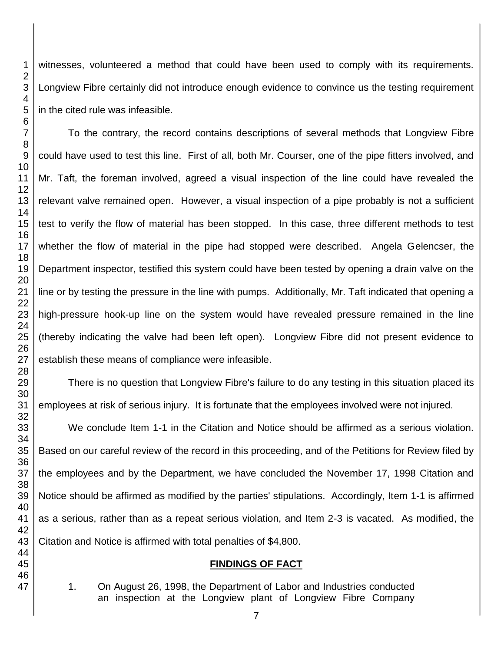witnesses, volunteered a method that could have been used to comply with its requirements. Longview Fibre certainly did not introduce enough evidence to convince us the testing requirement in the cited rule was infeasible.

To the contrary, the record contains descriptions of several methods that Longview Fibre could have used to test this line. First of all, both Mr. Courser, one of the pipe fitters involved, and Mr. Taft, the foreman involved, agreed a visual inspection of the line could have revealed the relevant valve remained open. However, a visual inspection of a pipe probably is not a sufficient test to verify the flow of material has been stopped. In this case, three different methods to test whether the flow of material in the pipe had stopped were described. Angela Gelencser, the Department inspector, testified this system could have been tested by opening a drain valve on the line or by testing the pressure in the line with pumps. Additionally, Mr. Taft indicated that opening a high-pressure hook-up line on the system would have revealed pressure remained in the line (thereby indicating the valve had been left open). Longview Fibre did not present evidence to establish these means of compliance were infeasible.

There is no question that Longview Fibre's failure to do any testing in this situation placed its employees at risk of serious injury. It is fortunate that the employees involved were not injured.

We conclude Item 1-1 in the Citation and Notice should be affirmed as a serious violation. Based on our careful review of the record in this proceeding, and of the Petitions for Review filed by the employees and by the Department, we have concluded the November 17, 1998 Citation and Notice should be affirmed as modified by the parties' stipulations. Accordingly, Item 1-1 is affirmed as a serious, rather than as a repeat serious violation, and Item 2-3 is vacated. As modified, the Citation and Notice is affirmed with total penalties of \$4,800.

#### **FINDINGS OF FACT**

1. On August 26, 1998, the Department of Labor and Industries conducted an inspection at the Longview plant of Longview Fibre Company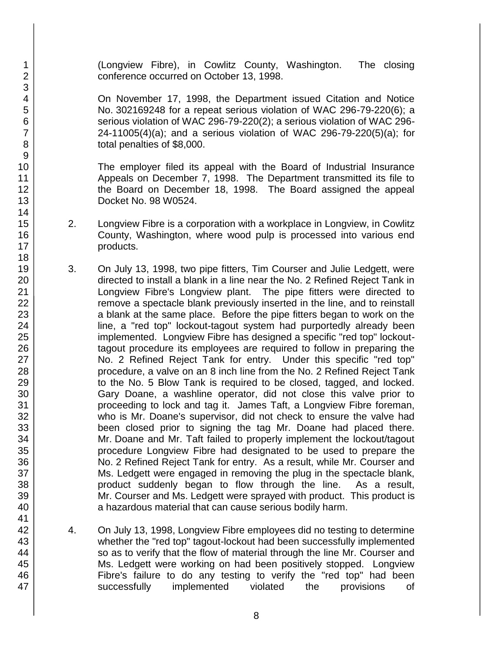(Longview Fibre), in Cowlitz County, Washington. The closing conference occurred on October 13, 1998.

On November 17, 1998, the Department issued Citation and Notice No. 302169248 for a repeat serious violation of WAC 296-79-220(6); a serious violation of WAC 296-79-220(2); a serious violation of WAC 296- 24-11005(4)(a); and a serious violation of WAC 296-79-220(5)(a); for total penalties of \$8,000.

The employer filed its appeal with the Board of Industrial Insurance Appeals on December 7, 1998. The Department transmitted its file to the Board on December 18, 1998. The Board assigned the appeal Docket No. 98 W0524.

- 2. Longview Fibre is a corporation with a workplace in Longview, in Cowlitz County, Washington, where wood pulp is processed into various end products.
- 3. On July 13, 1998, two pipe fitters, Tim Courser and Julie Ledgett, were directed to install a blank in a line near the No. 2 Refined Reject Tank in Longview Fibre's Longview plant. The pipe fitters were directed to remove a spectacle blank previously inserted in the line, and to reinstall a blank at the same place. Before the pipe fitters began to work on the line, a "red top" lockout-tagout system had purportedly already been implemented. Longview Fibre has designed a specific "red top" lockouttagout procedure its employees are required to follow in preparing the No. 2 Refined Reject Tank for entry. Under this specific "red top" procedure, a valve on an 8 inch line from the No. 2 Refined Reject Tank to the No. 5 Blow Tank is required to be closed, tagged, and locked. Gary Doane, a washline operator, did not close this valve prior to proceeding to lock and tag it. James Taft, a Longview Fibre foreman, who is Mr. Doane's supervisor, did not check to ensure the valve had been closed prior to signing the tag Mr. Doane had placed there. Mr. Doane and Mr. Taft failed to properly implement the lockout/tagout procedure Longview Fibre had designated to be used to prepare the No. 2 Refined Reject Tank for entry. As a result, while Mr. Courser and Ms. Ledgett were engaged in removing the plug in the spectacle blank, product suddenly began to flow through the line. As a result, Mr. Courser and Ms. Ledgett were sprayed with product. This product is a hazardous material that can cause serious bodily harm.
- 4. On July 13, 1998, Longview Fibre employees did no testing to determine whether the "red top" tagout-lockout had been successfully implemented so as to verify that the flow of material through the line Mr. Courser and Ms. Ledgett were working on had been positively stopped. Longview Fibre's failure to do any testing to verify the "red top" had been successfully implemented violated the provisions of

1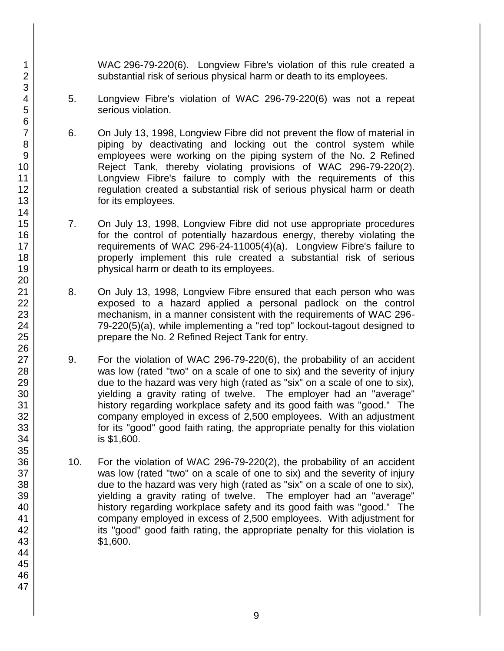WAC 296-79-220(6). Longview Fibre's violation of this rule created a substantial risk of serious physical harm or death to its employees.

- 5. Longview Fibre's violation of WAC 296-79-220(6) was not a repeat serious violation.
- 6. On July 13, 1998, Longview Fibre did not prevent the flow of material in piping by deactivating and locking out the control system while employees were working on the piping system of the No. 2 Refined Reject Tank, thereby violating provisions of WAC 296-79-220(2). Longview Fibre's failure to comply with the requirements of this regulation created a substantial risk of serious physical harm or death for its employees.
- 7. On July 13, 1998, Longview Fibre did not use appropriate procedures for the control of potentially hazardous energy, thereby violating the requirements of WAC 296-24-11005(4)(a). Longview Fibre's failure to properly implement this rule created a substantial risk of serious physical harm or death to its employees.
- 8. On July 13, 1998, Longview Fibre ensured that each person who was exposed to a hazard applied a personal padlock on the control mechanism, in a manner consistent with the requirements of WAC 296- 79-220(5)(a), while implementing a "red top" lockout-tagout designed to prepare the No. 2 Refined Reject Tank for entry.
- 9. For the violation of WAC 296-79-220(6), the probability of an accident was low (rated "two" on a scale of one to six) and the severity of injury due to the hazard was very high (rated as "six" on a scale of one to six), yielding a gravity rating of twelve. The employer had an "average" history regarding workplace safety and its good faith was "good." The company employed in excess of 2,500 employees. With an adjustment for its "good" good faith rating, the appropriate penalty for this violation is \$1,600.
- 10. For the violation of WAC 296-79-220(2), the probability of an accident was low (rated "two" on a scale of one to six) and the severity of injury due to the hazard was very high (rated as "six" on a scale of one to six), yielding a gravity rating of twelve. The employer had an "average" history regarding workplace safety and its good faith was "good." The company employed in excess of 2,500 employees. With adjustment for its "good" good faith rating, the appropriate penalty for this violation is \$1,600.

1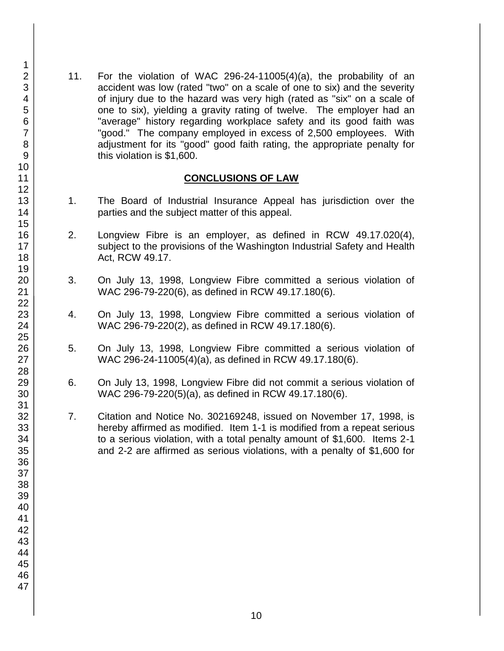11. For the violation of WAC 296-24-11005(4)(a), the probability of an accident was low (rated "two" on a scale of one to six) and the severity of injury due to the hazard was very high (rated as "six" on a scale of one to six), yielding a gravity rating of twelve. The employer had an "average" history regarding workplace safety and its good faith was "good." The company employed in excess of 2,500 employees. With adjustment for its "good" good faith rating, the appropriate penalty for this violation is \$1,600.

#### **CONCLUSIONS OF LAW**

- 1. The Board of Industrial Insurance Appeal has jurisdiction over the parties and the subject matter of this appeal.
- 2. Longview Fibre is an employer, as defined in RCW 49.17.020(4), subject to the provisions of the Washington Industrial Safety and Health Act, RCW 49.17.
- 3. On July 13, 1998, Longview Fibre committed a serious violation of WAC 296-79-220(6), as defined in RCW 49.17.180(6).
- 4. On July 13, 1998, Longview Fibre committed a serious violation of WAC 296-79-220(2), as defined in RCW 49.17.180(6).
- 5. On July 13, 1998, Longview Fibre committed a serious violation of WAC 296-24-11005(4)(a), as defined in RCW 49.17.180(6).
- 6. On July 13, 1998, Longview Fibre did not commit a serious violation of WAC 296-79-220(5)(a), as defined in RCW 49.17.180(6).
- 7. Citation and Notice No. 302169248, issued on November 17, 1998, is hereby affirmed as modified. Item 1-1 is modified from a repeat serious to a serious violation, with a total penalty amount of \$1,600. Items 2-1 and 2-2 are affirmed as serious violations, with a penalty of \$1,600 for